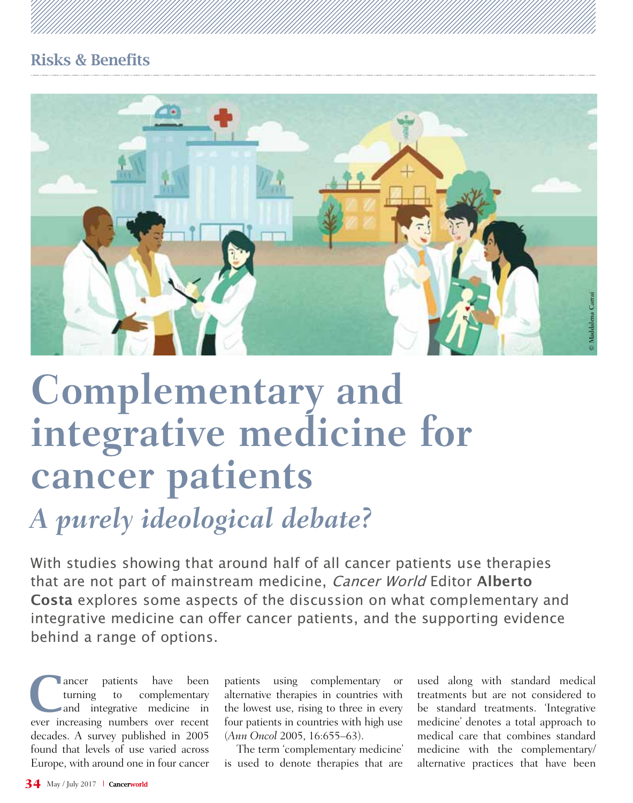# Risks & Benefits



# **Complementary and integrative medicine for cancer patients**

# *A purely ideological debate?*

With studies showing that around half of all cancer patients use therapies that are not part of mainstream medicine, Cancer World Editor **Alberto Costa** explores some aspects of the discussion on what complementary and integrative medicine can offer cancer patients, and the supporting evidence behind a range of options.

ancer patients have been<br>turning to complementary<br>and integrative medicine in turning to complementary ever increasing numbers over recent decades. A survey published in 2005 found that levels of use varied across Europe, with around one in four cancer

patients using complementary or alternative therapies in countries with the lowest use, rising to three in every four patients in countries with high use (*Ann Oncol* 2005, 16:655–63).

The term 'complementary medicine' is used to denote therapies that are

used along with standard medical treatments but are not considered to be standard treatments. 'Integrative medicine' denotes a total approach to medical care that combines standard medicine with the complementary/ alternative practices that have been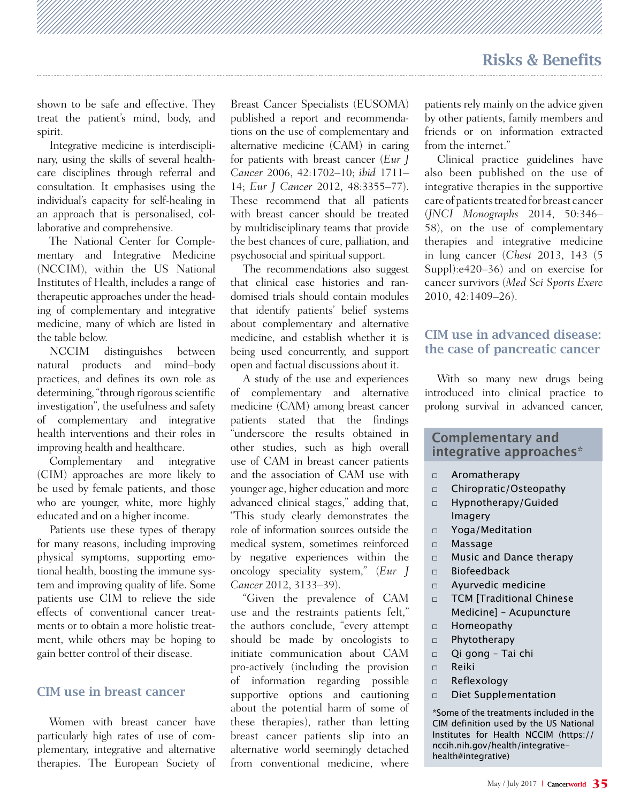shown to be safe and effective. They treat the patient's mind, body, and spirit.

Integrative medicine is interdisciplinary, using the skills of several healthcare disciplines through referral and consultation. It emphasises using the individual's capacity for self-healing in an approach that is personalised, collaborative and comprehensive.

The National Center for Complementary and Integrative Medicine (NCCIM), within the US National Institutes of Health, includes a range of therapeutic approaches under the heading of complementary and integrative medicine, many of which are listed in the table below.

NCCIM distinguishes between natural products and mind–body practices, and defines its own role as determining, "through rigorous scientific investigation", the usefulness and safety of complementary and integrative health interventions and their roles in improving health and healthcare.

Complementary and integrative (CIM) approaches are more likely to be used by female patients, and those who are younger, white, more highly educated and on a higher income.

Patients use these types of therapy for many reasons, including improving physical symptoms, supporting emotional health, boosting the immune system and improving quality of life. Some patients use CIM to relieve the side effects of conventional cancer treatments or to obtain a more holistic treatment, while others may be hoping to gain better control of their disease.

#### CIM use in breast cancer

Women with breast cancer have particularly high rates of use of complementary, integrative and alternative therapies. The European Society of

Breast Cancer Specialists (EUSOMA) published a report and recommendations on the use of complementary and alternative medicine (CAM) in caring for patients with breast cancer (*Eur J Cancer* 2006, 42:1702–10; *ibid* 1711– 14; *Eur J Cancer* 2012, 48:3355–77). These recommend that all patients with breast cancer should be treated by multidisciplinary teams that provide the best chances of cure, palliation, and psychosocial and spiritual support.

The recommendations also suggest that clinical case histories and randomised trials should contain modules that identify patients' belief systems about complementary and alternative medicine, and establish whether it is being used concurrently, and support open and factual discussions about it.

A study of the use and experiences of complementary and alternative medicine (CAM) among breast cancer patients stated that the findings "underscore the results obtained in other studies, such as high overall use of CAM in breast cancer patients and the association of CAM use with younger age, higher education and more advanced clinical stages," adding that, "This study clearly demonstrates the role of information sources outside the medical system, sometimes reinforced by negative experiences within the oncology speciality system," (*Eur J Cancer* 2012, 3133–39).

"Given the prevalence of CAM use and the restraints patients felt," the authors conclude, "every attempt should be made by oncologists to initiate communication about CAM pro-actively (including the provision of information regarding possible supportive options and cautioning about the potential harm of some of these therapies), rather than letting breast cancer patients slip into an alternative world seemingly detached from conventional medicine, where

patients rely mainly on the advice given by other patients, family members and friends or on information extracted from the internet."

Clinical practice guidelines have also been published on the use of integrative therapies in the supportive care of patients treated for breast cancer (*JNCI Monographs* 2014, 50:346– 58), on the use of complementary therapies and integrative medicine in lung cancer (*Chest* 2013, 143 (5 Suppl):e420–36) and on exercise for cancer survivors (*Med Sci Sports Exerc*  2010, 42:1409–26).

#### CIM use in advanced disease: the case of pancreatic cancer

With so many new drugs being introduced into clinical practice to prolong survival in advanced cancer,

#### **Complementary and integrative approaches\***

- □ Aromatherapy
- □ Chiropratic/Osteopathy
- □ Hypnotherapy/Guided Imagery
- □ Yoga/Meditation
- □ Massage
- □ Music and Dance therapy
- $\n **Biof**$ eedback
- □ Ayurvedic medicine
- □ TCM [Traditional Chinese Medicine] – Acupuncture
- □ Homeopathy
- □ Phytotherapy
- □ Qi gong Tai chi
- □ Reiki
- □ Reflexology
- □ Diet Supplementation

\*Some of the treatments included in the CIM definition used by the US National Institutes for Health NCCIM (https:// nccih.nih.gov/health/integrativehealth#integrative)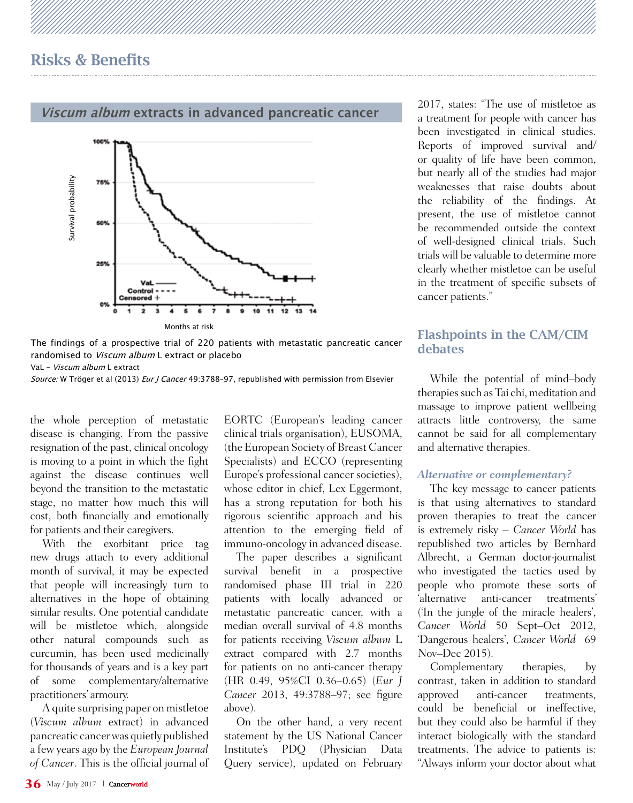#### **Viscum album extracts in advanced pancreatic cancer**



2017, states: "The use of mistletoe as a treatment for people with cancer has been investigated in clinical studies. Reports of improved survival and/ or quality of life have been common, but nearly all of the studies had major weaknesses that raise doubts about the reliability of the findings. At present, the use of mistletoe cannot be recommended outside the context of well-designed clinical trials. Such trials will be valuable to determine more clearly whether mistletoe can be useful in the treatment of specific subsets of cancer patients."

#### Flashpoints in the CAM/CIM debates

While the potential of mind–body therapies such as Tai chi, meditation and massage to improve patient wellbeing attracts little controversy, the same cannot be said for all complementary and alternative therapies.

#### *Alternative or complementary?*

The key message to cancer patients is that using alternatives to standard proven therapies to treat the cancer is extremely risky – *Cancer World* has republished two articles by Bernhard Albrecht, a German doctor-journalist who investigated the tactics used by people who promote these sorts of 'alternative anti-cancer treatments' ('In the jungle of the miracle healers', *Cancer World* 50 Sept–Oct 2012, 'Dangerous healers', *Cancer World* 69 Nov–Dec 2015).

Complementary therapies, by contrast, taken in addition to standard approved anti-cancer treatments, could be beneficial or ineffective, but they could also be harmful if they interact biologically with the standard treatments. The advice to patients is: "Always inform your doctor about what

#### The findings of a prospective trial of 220 patients with metastatic pancreatic cancer randomised to Viscum album L extract or placebo

VaL – Viscum album L extract

Source: W Tröger et al (2013) Eur J Cancer 49:3788-97, republished with permission from Elsevier

the whole perception of metastatic disease is changing. From the passive resignation of the past, clinical oncology is moving to a point in which the fight against the disease continues well beyond the transition to the metastatic stage, no matter how much this will cost, both financially and emotionally for patients and their caregivers.

Example 1<br>
The findings of randomised to<br>
VaL - *Viscum albu*<br>
Source: W Tröger<br>
the whole pedisease is changed<br>
resignation of the stage, no mat<br>
against the stage, no mat<br>
cost, both final<br>
for patients and With the new With the exorbitant price tag new drugs attach to every additional month of survival, it may be expected that people will increasingly turn to alternatives in the hope of obtaining similar results. One potential candidate will be mistletoe which, alongside other natural compounds such as curcumin, has been used medicinally for thousands of years and is a key part of some complementary/alternative practitioners' armoury.

A quite surprising paper on mistletoe (*Viscum album* extract) in advanced pancreatic cancer was quietly published a few years ago by the *European Journal of Cancer*. This is the official journal of EORTC (European's leading cancer clinical trials organisation), EUSOMA, (the European Society of Breast Cancer Specialists) and ECCO (representing Europe's professional cancer societies), whose editor in chief, Lex Eggermont, has a strong reputation for both his rigorous scientific approach and his attention to the emerging field of immuno-oncology in advanced disease.

The paper describes a significant survival benefit in a prospective randomised phase III trial in 220 patients with locally advanced or metastatic pancreatic cancer, with a median overall survival of 4.8 months for patients receiving *Viscum album* L extract compared with 2.7 months for patients on no anti-cancer therapy (HR 0.49, 95%CI 0.36–0.65) (*Eur J Cancer* 2013, 49:3788–97; see figure above).

On the other hand, a very recent statement by the US National Cancer Institute's PDQ (Physician Data Query service), updated on February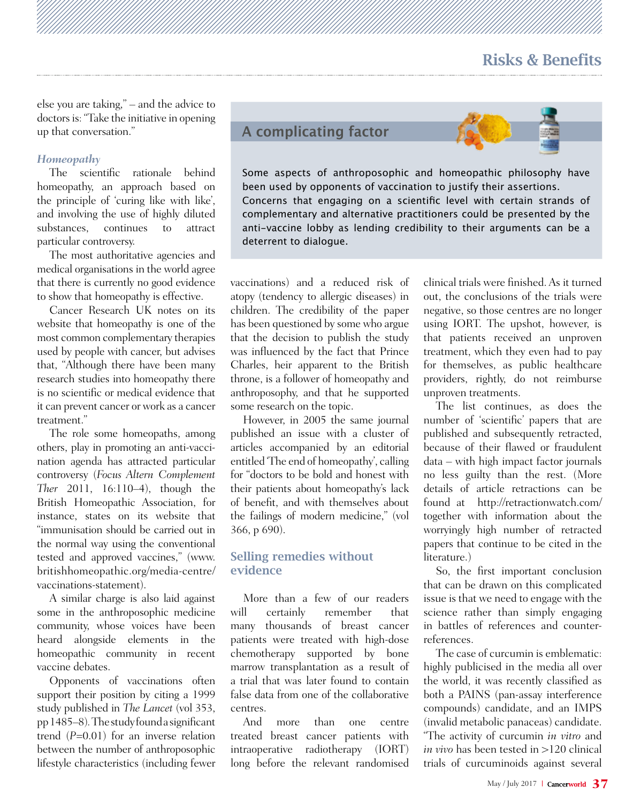## Risks & Benefits

else you are taking," – and the advice to doctors is: "Take the initiative in opening up that conversation."

#### *Homeopathy*

The scientific rationale behind homeopathy, an approach based on the principle of 'curing like with like', and involving the use of highly diluted<br>substances. continues to attract continues particular controversy.

The most authoritative agencies and medical organisations in the world agree that there is currently no good evidence to show that homeopathy is effective.

Cancer Research UK notes on its website that homeopathy is one of the most common complementary therapies used by people with cancer, but advises that, "Although there have been many research studies into homeopathy there is no scientific or medical evidence that it can prevent cancer or work as a cancer treatment."

The role some homeopaths, among others, play in promoting an anti-vaccination agenda has attracted particular controversy (*Focus Altern Complement Ther* 2011, 16:110–4), though the British Homeopathic Association, for instance, states on its website that "immunisation should be carried out in the normal way using the conventional tested and approved vaccines," (www. britishhomeopathic.org/media-centre/ vaccinations-statement).

A similar charge is also laid against some in the anthroposophic medicine community, whose voices have been heard alongside elements in the homeopathic community in recent vaccine debates.

Opponents of vaccinations often support their position by citing a 1999 study published in *The Lancet* (vol 353, pp 1485–8)*.* The study found a significant trend (*P*=0.01) for an inverse relation between the number of anthroposophic lifestyle characteristics (including fewer **A complicating factor**



Some aspects of anthroposophic and homeopathic philosophy have been used by opponents of vaccination to justify their assertions. Concerns that engaging on a scientific level with certain strands of complementary and alternative practitioners could be presented by the anti-vaccine lobby as lending credibility to their arguments can be a deterrent to dialogue.

vaccinations) and a reduced risk of atopy (tendency to allergic diseases) in children. The credibility of the paper has been questioned by some who argue that the decision to publish the study was influenced by the fact that Prince Charles, heir apparent to the British throne, is a follower of homeopathy and anthroposophy, and that he supported some research on the topic.

However, in 2005 the same journal published an issue with a cluster of articles accompanied by an editorial entitled 'The end of homeopathy', calling for "doctors to be bold and honest with their patients about homeopathy's lack of benefit, and with themselves about the failings of modern medicine," (vol 366, p 690).

#### Selling remedies without evidence

More than a few of our readers will certainly remember that many thousands of breast cancer patients were treated with high-dose chemotherapy supported by bone marrow transplantation as a result of a trial that was later found to contain false data from one of the collaborative centres.

And more than one centre treated breast cancer patients with intraoperative radiotherapy (IORT) long before the relevant randomised clinical trials were finished. As it turned out, the conclusions of the trials were negative, so those centres are no longer using IORT. The upshot, however, is that patients received an unproven treatment, which they even had to pay for themselves, as public healthcare providers, rightly, do not reimburse unproven treatments.

The list continues, as does the number of 'scientific' papers that are published and subsequently retracted, because of their flawed or fraudulent data – with high impact factor journals no less guilty than the rest. (More details of article retractions can be found at http://retractionwatch.com/ together with information about the worryingly high number of retracted papers that continue to be cited in the literature.)

So, the first important conclusion that can be drawn on this complicated issue is that we need to engage with the science rather than simply engaging in battles of references and counterreferences.

The case of curcumin is emblematic: highly publicised in the media all over the world, it was recently classified as both a PAINS (pan-assay interference compounds) candidate, and an IMPS (invalid metabolic panaceas) candidate. "The activity of curcumin *in vitro* and *in vivo* has been tested in >120 clinical trials of curcuminoids against several